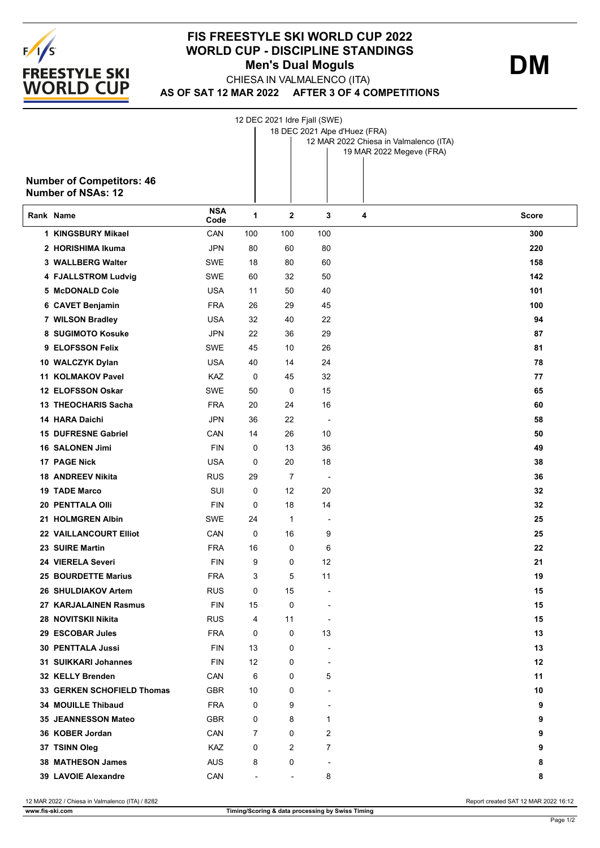

## **FIS FREESTYLE SKI WORLD CUP 2022 WORLD CUP - DISCIPLINE STANDINGS** CHIESA IN VALMALENCO (ITA) **Men's Dual Moguls DM**

**AS OF SAT 12 MAR 2022 AFTER 3 OF 4 COMPETITIONS**



12 MAR 2022 / Chiesa in Valmalenco (ITA) / 8282 Report created SAT 12 MAR 2022 16:12